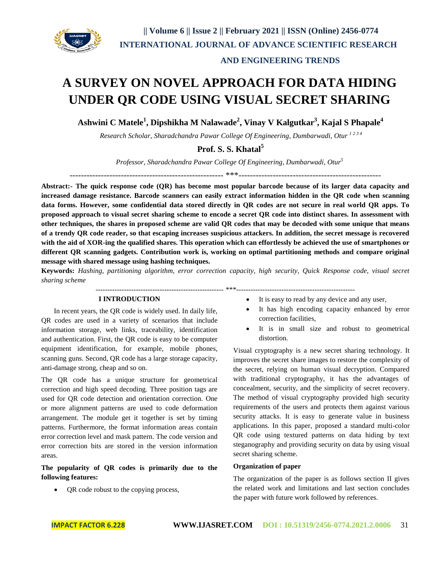

# **AND ENGINEERING TRENDS**

# **A SURVEY ON NOVEL APPROACH FOR DATA HIDING UNDER QR CODE USING VISUAL SECRET SHARING**

**Ashwini C Matele<sup>1</sup> , Dipshikha M Nalawade<sup>2</sup> , Vinay V Kalgutkar<sup>3</sup> , Kajal S Phapale<sup>4</sup>**

*Research Scholar, Sharadchandra Pawar College Of Engineering, Dumbarwadi, Otur <sup>1</sup> <sup>2</sup> <sup>3</sup> <sup>4</sup>*

# **Prof. S. S. Khatal<sup>5</sup>**

*Professor, Sharadchandra Pawar College Of Engineering, Dumbarwadi, Otur<sup>5</sup>*

------------------------------------------------------ \*\*\*--------------------------------------------------

**Abstract:- The quick response code (QR) has become most popular barcode because of its larger data capacity and increased damage resistance. Barcode scanners can easily extract information hidden in the QR code when scanning data forms. However, some confidential data stored directly in QR codes are not secure in real world QR apps. To proposed approach to visual secret sharing scheme to encode a secret QR code into distinct shares. In assessment with other techniques, the shares in proposed scheme are valid QR codes that may be decoded with some unique that means of a trendy QR code reader, so that escaping increases suspicious attackers. In addition, the secret message is recovered with the aid of XOR-ing the qualified shares. This operation which can effortlessly be achieved the use of smartphones or different QR scanning gadgets. Contribution work is, working on optimal partitioning methods and compare original message with shared message using hashing techniques.**

**Keywords:** *Hashing, partitioning algorithm, error correction capacity, high security, Quick Response code, visual secret sharing scheme*

 $****$ 

#### **I INTRODUCTION**

 In recent years, the QR code is widely used. In daily life, QR codes are used in a variety of scenarios that include information storage, web links, traceability, identification and authentication. First, the QR code is easy to be computer equipment identification, for example, mobile phones, scanning guns. Second, QR code has a large storage capacity, anti-damage strong, cheap and so on.

The QR code has a unique structure for geometrical correction and high speed decoding. Three position tags are used for QR code detection and orientation correction. One or more alignment patterns are used to code deformation arrangement. The module get it together is set by timing patterns. Furthermore, the format information areas contain error correction level and mask pattern. The code version and error correction bits are stored in the version information areas.

**The popularity of QR codes is primarily due to the following features:**

• QR code robust to the copying process,

- It is easy to read by any device and any user,
- It has high encoding capacity enhanced by error correction facilities,
- It is in small size and robust to geometrical distortion.

Visual cryptography is a new secret sharing technology. It improves the secret share images to restore the complexity of the secret, relying on human visual decryption. Compared with traditional cryptography, it has the advantages of concealment, security, and the simplicity of secret recovery. The method of visual cryptography provided high security requirements of the users and protects them against various security attacks. It is easy to generate value in business applications. In this paper, proposed a standard multi-color QR code using textured patterns on data hiding by text steganography and providing security on data by using visual secret sharing scheme.

#### **Organization of paper**

The organization of the paper is as follows section II gives the related work and limitations and last section concludes the paper with future work followed by references.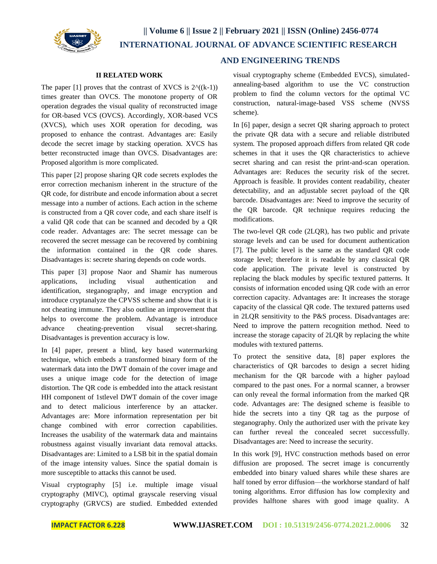

#### **II RELATED WORK**

The paper [1] proves that the contrast of XVCS is  $2^{\Lambda}((k-1))$ times greater than OVCS. The monotone property of OR operation degrades the visual quality of reconstructed image for OR-based VCS (OVCS). Accordingly, XOR-based VCS (XVCS), which uses XOR operation for decoding, was proposed to enhance the contrast. Advantages are: Easily decode the secret image by stacking operation. XVCS has better reconstructed image than OVCS. Disadvantages are: Proposed algorithm is more complicated.

This paper [2] propose sharing QR code secrets explodes the error correction mechanism inherent in the structure of the QR code, for distribute and encode information about a secret message into a number of actions. Each action in the scheme is constructed from a QR cover code, and each share itself is a valid QR code that can be scanned and decoded by a QR code reader. Advantages are: The secret message can be recovered the secret message can be recovered by combining the information contained in the QR code shares. Disadvantages is: secrete sharing depends on code words.

This paper [3] propose Naor and Shamir has numerous applications, including visual authentication and identification, steganography, and image encryption and introduce cryptanalyze the CPVSS scheme and show that it is not cheating immune. They also outline an improvement that helps to overcome the problem. Advantage is introduce advance cheating-prevention visual secret-sharing. Disadvantages is prevention accuracy is low.

In [4] paper, present a blind, key based watermarking technique, which embeds a transformed binary form of the watermark data into the DWT domain of the cover image and uses a unique image code for the detection of image distortion. The QR code is embedded into the attack resistant HH component of 1stlevel DWT domain of the cover image and to detect malicious interference by an attacker. Advantages are: More information representation per bit change combined with error correction capabilities. Increases the usability of the watermark data and maintains robustness against visually invariant data removal attacks. Disadvantages are: Limited to a LSB bit in the spatial domain of the image intensity values. Since the spatial domain is more susceptible to attacks this cannot be used.

Visual cryptography [5] i.e. multiple image visual cryptography (MIVC), optimal grayscale reserving visual cryptography (GRVCS) are studied. Embedded extended

### **AND ENGINEERING TRENDS**

visual cryptography scheme (Embedded EVCS), simulatedannealing-based algorithm to use the VC construction problem to find the column vectors for the optimal VC construction, natural-image-based VSS scheme (NVSS scheme).

In [6] paper, design a secret QR sharing approach to protect the private QR data with a secure and reliable distributed system. The proposed approach differs from related QR code schemes in that it uses the QR characteristics to achieve secret sharing and can resist the print-and-scan operation. Advantages are: Reduces the security risk of the secret. Approach is feasible. It provides content readability, cheater detectability, and an adjustable secret payload of the QR barcode. Disadvantages are: Need to improve the security of the QR barcode. QR technique requires reducing the modifications.

The two-level QR code (2LQR), has two public and private storage levels and can be used for document authentication [7]. The public level is the same as the standard QR code storage level; therefore it is readable by any classical QR code application. The private level is constructed by replacing the black modules by specific textured patterns. It consists of information encoded using QR code with an error correction capacity. Advantages are: It increases the storage capacity of the classical QR code. The textured patterns used in 2LQR sensitivity to the P&S process. Disadvantages are: Need to improve the pattern recognition method. Need to increase the storage capacity of 2LQR by replacing the white modules with textured patterns.

To protect the sensitive data, [8] paper explores the characteristics of QR barcodes to design a secret hiding mechanism for the QR barcode with a higher payload compared to the past ones. For a normal scanner, a browser can only reveal the formal information from the marked QR code. Advantages are: The designed scheme is feasible to hide the secrets into a tiny QR tag as the purpose of steganography. Only the authorized user with the private key can further reveal the concealed secret successfully. Disadvantages are: Need to increase the security.

In this work [9], HVC construction methods based on error diffusion are proposed. The secret image is concurrently embedded into binary valued shares while these shares are half toned by error diffusion—the workhorse standard of half toning algorithms. Error diffusion has low complexity and provides halftone shares with good image quality. A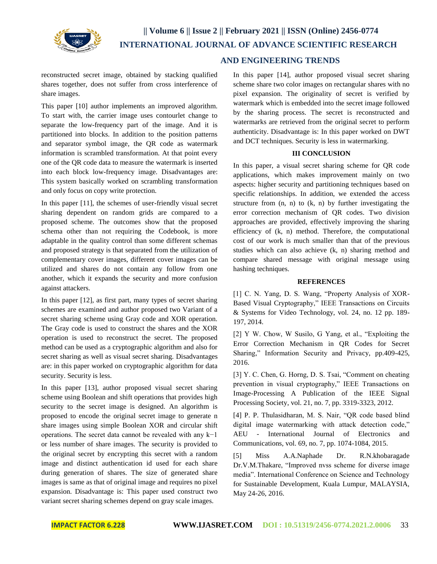

reconstructed secret image, obtained by stacking qualified shares together, does not suffer from cross interference of share images.

This paper [10] author implements an improved algorithm. To start with, the carrier image uses contourlet change to separate the low-frequency part of the image. And it is partitioned into blocks. In addition to the position patterns and separator symbol image, the QR code as watermark information is scrambled transformation. At that point every one of the QR code data to measure the watermark is inserted into each block low-frequency image. Disadvantages are: This system basically worked on scrambling transformation and only focus on copy write protection.

In this paper [11], the schemes of user-friendly visual secret sharing dependent on random grids are compared to a proposed scheme. The outcomes show that the proposed schema other than not requiring the Codebook, is more adaptable in the quality control than some different schemas and proposed strategy is that separated from the utilization of complementary cover images, different cover images can be utilized and shares do not contain any follow from one another, which it expands the security and more confusion against attackers.

In this paper [12], as first part, many types of secret sharing schemes are examined and author proposed two Variant of a secret sharing scheme using Gray code and XOR operation. The Gray code is used to construct the shares and the XOR operation is used to reconstruct the secret. The proposed method can be used as a cryptographic algorithm and also for secret sharing as well as visual secret sharing. Disadvantages are: in this paper worked on cryptographic algorithm for data security. Security is less.

In this paper [13], author proposed visual secret sharing scheme using Boolean and shift operations that provides high security to the secret image is designed. An algorithm is proposed to encode the original secret image to generate n share images using simple Boolean XOR and circular shift operations. The secret data cannot be revealed with any k−1 or less number of share images. The security is provided to the original secret by encrypting this secret with a random image and distinct authentication id used for each share during generation of shares. The size of generated share images is same as that of original image and requires no pixel expansion. Disadvantage is: This paper used construct two variant secret sharing schemes depend on gray scale images.

## **AND ENGINEERING TRENDS**

In this paper [14], author proposed visual secret sharing scheme share two color images on rectangular shares with no pixel expansion. The originality of secret is verified by watermark which is embedded into the secret image followed by the sharing process. The secret is reconstructed and watermarks are retrieved from the original secret to perform authenticity. Disadvantage is: In this paper worked on DWT and DCT techniques. Security is less in watermarking.

#### **III CONCLUSION**

In this paper, a visual secret sharing scheme for QR code applications, which makes improvement mainly on two aspects: higher security and partitioning techniques based on specific relationships. In addition, we extended the access structure from  $(n, n)$  to  $(k, n)$  by further investigating the error correction mechanism of QR codes. Two division approaches are provided, effectively improving the sharing efficiency of (k, n) method. Therefore, the computational cost of our work is much smaller than that of the previous studies which can also achieve (k, n) sharing method and compare shared message with original message using hashing techniques.

#### **REFERENCES**

[1] C. N. Yang, D. S. Wang, "Property Analysis of XOR-Based Visual Cryptography," IEEE Transactions on Circuits & Systems for Video Technology, vol. 24, no. 12 pp. 189- 197, 2014.

[2] Y W. Chow, W Susilo, G Yang, et al., "Exploiting the Error Correction Mechanism in QR Codes for Secret Sharing," Information Security and Privacy, pp.409-425, 2016.

[3] Y. C. Chen, G. Horng, D. S. Tsai, "Comment on cheating prevention in visual cryptography," IEEE Transactions on Image-Processing A Publication of the IEEE Signal Processing Society, vol. 21, no. 7, pp. 3319-3323, 2012.

[4] P. P. Thulasidharan, M. S. Nair, "QR code based blind digital image watermarking with attack detection code," AEU - International Journal of Electronics and Communications, vol. 69, no. 7, pp. 1074-1084, 2015.

[5] Miss A.A.Naphade Dr. R.N.khobaragade Dr.V.M.Thakare, "Improved nvss scheme for diverse image media". International Conference on Science and Technology for Sustainable Development, Kuala Lumpur, MALAYSIA, May 24-26, 2016.